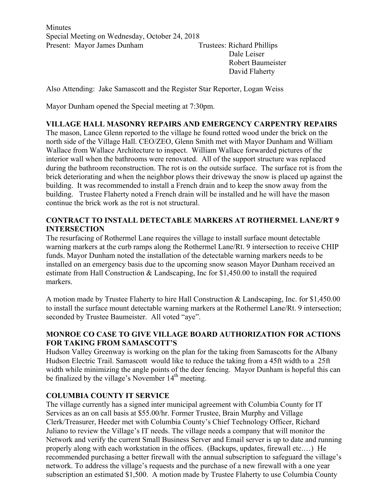**Minutes** Special Meeting on Wednesday, October 24, 2018 Present: Mayor James Dunham Trustees: Richard Phillips Dale Leiser

Robert Baumeister David Flaherty

Also Attending: Jake Samascott and the Register Star Reporter, Logan Weiss

Mayor Dunham opened the Special meeting at 7:30pm.

## **VILLAGE HALL MASONRY REPAIRS AND EMERGENCY CARPENTRY REPAIRS**

The mason, Lance Glenn reported to the village he found rotted wood under the brick on the north side of the Village Hall. CEO/ZEO, Glenn Smith met with Mayor Dunham and William Wallace from Wallace Architecture to inspect. William Wallace forwarded pictures of the interior wall when the bathrooms were renovated. All of the support structure was replaced during the bathroom reconstruction. The rot is on the outside surface. The surface rot is from the brick deteriorating and when the neighbor plows their driveway the snow is placed up against the building. It was recommended to install a French drain and to keep the snow away from the building. Trustee Flaherty noted a French drain will be installed and he will have the mason continue the brick work as the rot is not structural.

## **CONTRACT TO INSTALL DETECTABLE MARKERS AT ROTHERMEL LANE/RT 9 INTERSECTION**

The resurfacing of Rothermel Lane requires the village to install surface mount detectable warning markers at the curb ramps along the Rothermel Lane/Rt. 9 intersection to receive CHIP funds. Mayor Dunham noted the installation of the detectable warning markers needs to be installed on an emergency basis due to the upcoming snow season Mayor Dunham received an estimate from Hall Construction & Landscaping, Inc for \$1,450.00 to install the required markers.

A motion made by Trustee Flaherty to hire Hall Construction & Landscaping, Inc. for \$1,450.00 to install the surface mount detectable warning markers at the Rothermel Lane/Rt. 9 intersection; seconded by Trustee Baumeister. All voted "aye".

## **MONROE CO CASE TO GIVE VILLAGE BOARD AUTHORIZATION FOR ACTIONS FOR TAKING FROM SAMASCOTT'S**

Hudson Valley Greenway is working on the plan for the taking from Samascotts for the Albany Hudson Electric Trail. Samascott would like to reduce the taking from a 45ft width to a 25ft width while minimizing the angle points of the deer fencing. Mayor Dunham is hopeful this can be finalized by the village's November  $14<sup>th</sup>$  meeting.

## **COLUMBIA COUNTY IT SERVICE**

The village currently has a signed inter municipal agreement with Columbia County for IT Services as an on call basis at \$55.00/hr. Former Trustee, Brain Murphy and Village Clerk/Treasurer, Heeder met with Columbia County's Chief Technology Officer, Richard Juliano to review the Village's IT needs. The village needs a company that will monitor the Network and verify the current Small Business Server and Email server is up to date and running properly along with each workstation in the offices. (Backups, updates, firewall etc.…) He recommended purchasing a better firewall with the annual subscription to safeguard the village's network. To address the village's requests and the purchase of a new firewall with a one year subscription an estimated \$1,500. A motion made by Trustee Flaherty to use Columbia County